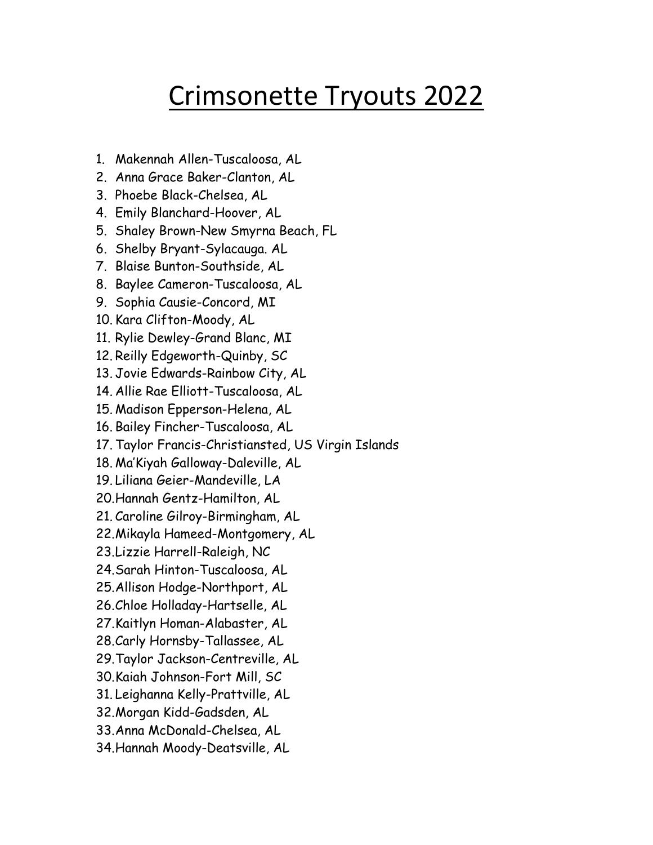## Crimsonette Tryouts 2022

- 1. Makennah Allen-Tuscaloosa, AL
- 2. Anna Grace Baker-Clanton, AL
- 3. Phoebe Black-Chelsea, AL
- 4. Emily Blanchard-Hoover, AL
- 5. Shaley Brown-New Smyrna Beach, FL
- 6. Shelby Bryant-Sylacauga. AL
- 7. Blaise Bunton-Southside, AL
- 8. Baylee Cameron-Tuscaloosa, AL
- 9. Sophia Causie-Concord, MI
- 10. Kara Clifton-Moody, AL
- 11. Rylie Dewley-Grand Blanc, MI
- 12. Reilly Edgeworth-Quinby, SC
- 13. Jovie Edwards-Rainbow City, AL
- 14. Allie Rae Elliott-Tuscaloosa, AL
- 15. Madison Epperson-Helena, AL
- 16. Bailey Fincher-Tuscaloosa, AL
- 17. Taylor Francis-Christiansted, US Virgin Islands
- 18. Ma'Kiyah Galloway-Daleville, AL
- 19. Liliana Geier-Mandeville, LA
- 20.Hannah Gentz-Hamilton, AL
- 21. Caroline Gilroy-Birmingham, AL
- 22.Mikayla Hameed-Montgomery, AL
- 23.Lizzie Harrell-Raleigh, NC
- 24.Sarah Hinton-Tuscaloosa, AL
- 25.Allison Hodge-Northport, AL
- 26.Chloe Holladay-Hartselle, AL
- 27.Kaitlyn Homan-Alabaster, AL
- 28.Carly Hornsby-Tallassee, AL
- 29.Taylor Jackson-Centreville, AL
- 30.Kaiah Johnson-Fort Mill, SC
- 31. Leighanna Kelly-Prattville, AL
- 32.Morgan Kidd-Gadsden, AL
- 33.Anna McDonald-Chelsea, AL
- 34.Hannah Moody-Deatsville, AL